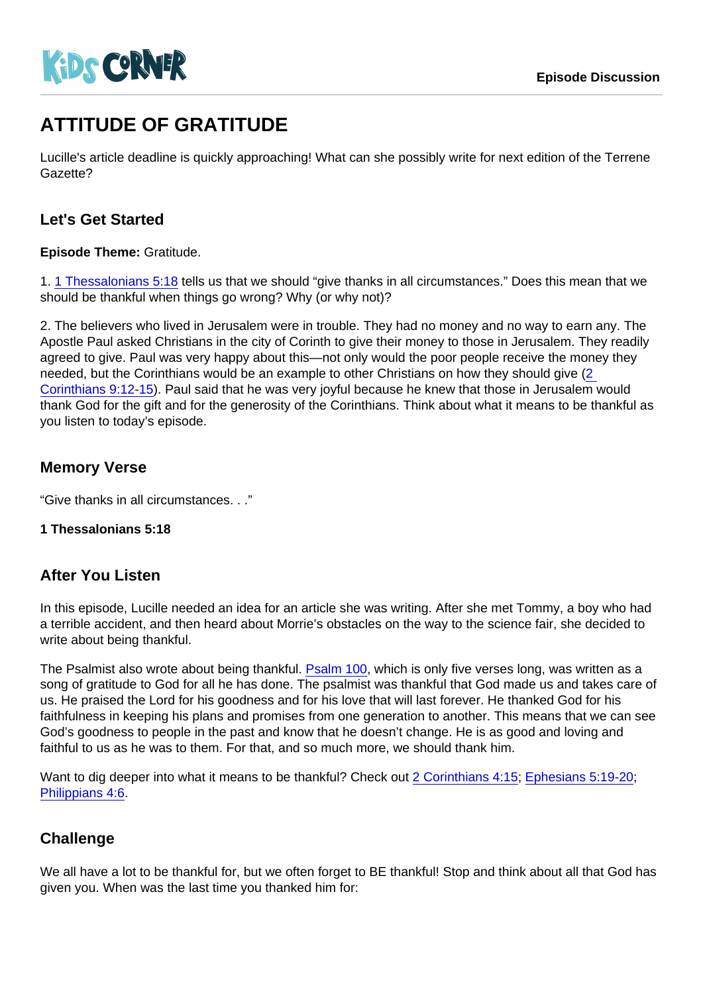# ATTITUDE OF GRATITUDE

Lucille's article deadline is quickly approaching! What can she possibly write for next edition of the Terrene Gazette?

# Let's Get Started

Episode Theme: Gratitude.

1. [1 Thessalonians 5:18](https://www.biblegateway.com/passage/?search=1+Thessalonians+5:18) tells us that we should "give thanks in all circumstances." Does this mean that we should be thankful when things go wrong? Why (or why not)?

2. The believers who lived in Jerusalem were in trouble. They had no money and no way to earn any. The Apostle Paul asked Christians in the city of Corinth to give their money to those in Jerusalem. They readily agreed to give. Paul was very happy about this—not only would the poor people receive the money they needed, but the Corinthians would be an example to other Christians on how they should give [\(2](https://www.biblegateway.com/passage/?search=2+Corinthians+9:12-15)  [Corinthians 9:12-15](https://www.biblegateway.com/passage/?search=2+Corinthians+9:12-15)). Paul said that he was very joyful because he knew that those in Jerusalem would thank God for the gift and for the generosity of the Corinthians. Think about what it means to be thankful as you listen to today's episode.

## Memory Verse

"Give thanks in all circumstances. . ."

1 Thessalonians 5:18

## After You Listen

In this episode, Lucille needed an idea for an article she was writing. After she met Tommy, a boy who had a terrible accident, and then heard about Morrie's obstacles on the way to the science fair, she decided to write about being thankful.

The Psalmist also wrote about being thankful. [Psalm 100,](https://www.biblegateway.com/passage/?search=Psalm+100) which is only five verses long, was written as a song of gratitude to God for all he has done. The psalmist was thankful that God made us and takes care of us. He praised the Lord for his goodness and for his love that will last forever. He thanked God for his faithfulness in keeping his plans and promises from one generation to another. This means that we can see God's goodness to people in the past and know that he doesn't change. He is as good and loving and faithful to us as he was to them. For that, and so much more, we should thank him.

Want to dig deeper into what it means to be thankful? Check out [2 Corinthians 4:15;](https://www.biblegateway.com/passage/?search=2+Corinthians+4:15) [Ephesians 5:19-20;](https://www.biblegateway.com/passage/?search=Ephesians+5:19-20) [Philippians 4:6.](https://www.biblegateway.com/passage/?search=Philippians+4:6)

### **Challenge**

We all have a lot to be thankful for, but we often forget to BE thankful! Stop and think about all that God has given you. When was the last time you thanked him for: